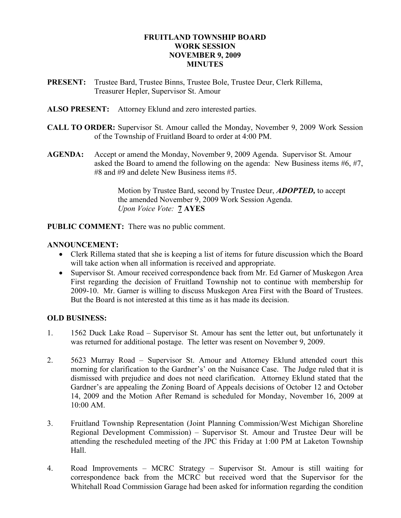### FRUITLAND TOWNSHIP BOARD WORK SESSION NOVEMBER 9, 2009 **MINUTES**

- PRESENT: Trustee Bard, Trustee Binns, Trustee Bole, Trustee Deur, Clerk Rillema, Treasurer Hepler, Supervisor St. Amour
- ALSO PRESENT: Attorney Eklund and zero interested parties.
- CALL TO ORDER: Supervisor St. Amour called the Monday, November 9, 2009 Work Session of the Township of Fruitland Board to order at 4:00 PM.
- AGENDA: Accept or amend the Monday, November 9, 2009 Agenda. Supervisor St. Amour asked the Board to amend the following on the agenda: New Business items #6, #7, #8 and #9 and delete New Business items #5.

 Motion by Trustee Bard, second by Trustee Deur, ADOPTED, to accept the amended November 9, 2009 Work Session Agenda. Upon Voice Vote: 7 AYES

PUBLIC COMMENT: There was no public comment.

### ANNOUNCEMENT:

- Clerk Rillema stated that she is keeping a list of items for future discussion which the Board will take action when all information is received and appropriate.
- Supervisor St. Amour received correspondence back from Mr. Ed Garner of Muskegon Area First regarding the decision of Fruitland Township not to continue with membership for 2009-10. Mr. Garner is willing to discuss Muskegon Area First with the Board of Trustees. But the Board is not interested at this time as it has made its decision.

#### OLD BUSINESS:

- 1. 1562 Duck Lake Road Supervisor St. Amour has sent the letter out, but unfortunately it was returned for additional postage. The letter was resent on November 9, 2009.
- 2. 5623 Murray Road Supervisor St. Amour and Attorney Eklund attended court this morning for clarification to the Gardner's' on the Nuisance Case. The Judge ruled that it is dismissed with prejudice and does not need clarification. Attorney Eklund stated that the Gardner's are appealing the Zoning Board of Appeals decisions of October 12 and October 14, 2009 and the Motion After Remand is scheduled for Monday, November 16, 2009 at 10:00 AM.
- 3. Fruitland Township Representation (Joint Planning Commission/West Michigan Shoreline Regional Development Commission) – Supervisor St. Amour and Trustee Deur will be attending the rescheduled meeting of the JPC this Friday at 1:00 PM at Laketon Township Hall.
- 4. Road Improvements MCRC Strategy Supervisor St. Amour is still waiting for correspondence back from the MCRC but received word that the Supervisor for the Whitehall Road Commission Garage had been asked for information regarding the condition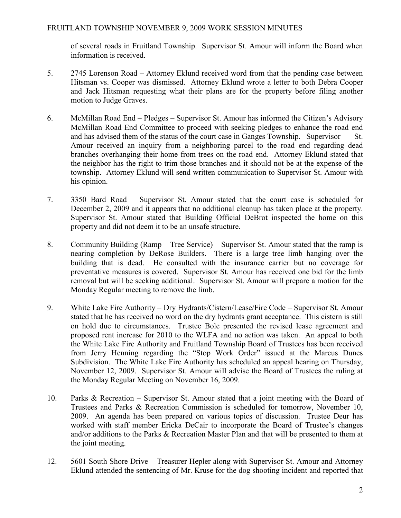### FRUITLAND TOWNSHIP NOVEMBER 9, 2009 WORK SESSION MINUTES

 of several roads in Fruitland Township. Supervisor St. Amour will inform the Board when information is received.

- 5. 2745 Lorenson Road Attorney Eklund received word from that the pending case between Hitsman vs. Cooper was dismissed. Attorney Eklund wrote a letter to both Debra Cooper and Jack Hitsman requesting what their plans are for the property before filing another motion to Judge Graves.
- 6. McMillan Road End Pledges Supervisor St. Amour has informed the Citizen's Advisory McMillan Road End Committee to proceed with seeking pledges to enhance the road end and has advised them of the status of the court case in Ganges Township. Supervisor St. Amour received an inquiry from a neighboring parcel to the road end regarding dead branches overhanging their home from trees on the road end. Attorney Eklund stated that the neighbor has the right to trim those branches and it should not be at the expense of the township. Attorney Eklund will send written communication to Supervisor St. Amour with his opinion.
- 7. 3350 Bard Road Supervisor St. Amour stated that the court case is scheduled for December 2, 2009 and it appears that no additional cleanup has taken place at the property. Supervisor St. Amour stated that Building Official DeBrot inspected the home on this property and did not deem it to be an unsafe structure.
- 8. Community Building (Ramp Tree Service) Supervisor St. Amour stated that the ramp is nearing completion by DeRose Builders. There is a large tree limb hanging over the building that is dead. He consulted with the insurance carrier but no coverage for preventative measures is covered. Supervisor St. Amour has received one bid for the limb removal but will be seeking additional. Supervisor St. Amour will prepare a motion for the Monday Regular meeting to remove the limb.
- 9. White Lake Fire Authority Dry Hydrants/Cistern/Lease/Fire Code Supervisor St. Amour stated that he has received no word on the dry hydrants grant acceptance. This cistern is still on hold due to circumstances. Trustee Bole presented the revised lease agreement and proposed rent increase for 2010 to the WLFA and no action was taken. An appeal to both the White Lake Fire Authority and Fruitland Township Board of Trustees has been received from Jerry Henning regarding the "Stop Work Order" issued at the Marcus Dunes Subdivision. The White Lake Fire Authority has scheduled an appeal hearing on Thursday, November 12, 2009. Supervisor St. Amour will advise the Board of Trustees the ruling at the Monday Regular Meeting on November 16, 2009.
- 10. Parks & Recreation Supervisor St. Amour stated that a joint meeting with the Board of Trustees and Parks & Recreation Commission is scheduled for tomorrow, November 10, 2009. An agenda has been prepared on various topics of discussion. Trustee Deur has worked with staff member Ericka DeCair to incorporate the Board of Trustee's changes and/or additions to the Parks & Recreation Master Plan and that will be presented to them at the joint meeting.
- 12. 5601 South Shore Drive Treasurer Hepler along with Supervisor St. Amour and Attorney Eklund attended the sentencing of Mr. Kruse for the dog shooting incident and reported that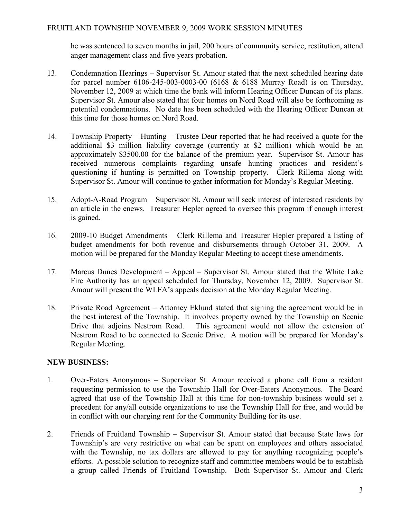he was sentenced to seven months in jail, 200 hours of community service, restitution, attend anger management class and five years probation.

- 13. Condemnation Hearings Supervisor St. Amour stated that the next scheduled hearing date for parcel number 6106-245-003-0003-00 (6168 & 6188 Murray Road) is on Thursday, November 12, 2009 at which time the bank will inform Hearing Officer Duncan of its plans. Supervisor St. Amour also stated that four homes on Nord Road will also be forthcoming as potential condemnations. No date has been scheduled with the Hearing Officer Duncan at this time for those homes on Nord Road.
- 14. Township Property Hunting Trustee Deur reported that he had received a quote for the additional \$3 million liability coverage (currently at \$2 million) which would be an approximately \$3500.00 for the balance of the premium year. Supervisor St. Amour has received numerous complaints regarding unsafe hunting practices and resident's questioning if hunting is permitted on Township property. Clerk Rillema along with Supervisor St. Amour will continue to gather information for Monday's Regular Meeting.
- 15. Adopt-A-Road Program Supervisor St. Amour will seek interest of interested residents by an article in the enews. Treasurer Hepler agreed to oversee this program if enough interest is gained.
- 16. 2009-10 Budget Amendments Clerk Rillema and Treasurer Hepler prepared a listing of budget amendments for both revenue and disbursements through October 31, 2009. A motion will be prepared for the Monday Regular Meeting to accept these amendments.
- 17. Marcus Dunes Development Appeal Supervisor St. Amour stated that the White Lake Fire Authority has an appeal scheduled for Thursday, November 12, 2009. Supervisor St. Amour will present the WLFA's appeals decision at the Monday Regular Meeting.
- 18. Private Road Agreement Attorney Eklund stated that signing the agreement would be in the best interest of the Township. It involves property owned by the Township on Scenic Drive that adjoins Nestrom Road. This agreement would not allow the extension of Nestrom Road to be connected to Scenic Drive. A motion will be prepared for Monday's Regular Meeting.

## NEW BUSINESS:

- 1. Over-Eaters Anonymous Supervisor St. Amour received a phone call from a resident requesting permission to use the Township Hall for Over-Eaters Anonymous. The Board agreed that use of the Township Hall at this time for non-township business would set a precedent for any/all outside organizations to use the Township Hall for free, and would be in conflict with our charging rent for the Community Building for its use.
- 2. Friends of Fruitland Township Supervisor St. Amour stated that because State laws for Township's are very restrictive on what can be spent on employees and others associated with the Township, no tax dollars are allowed to pay for anything recognizing people's efforts. A possible solution to recognize staff and committee members would be to establish a group called Friends of Fruitland Township. Both Supervisor St. Amour and Clerk